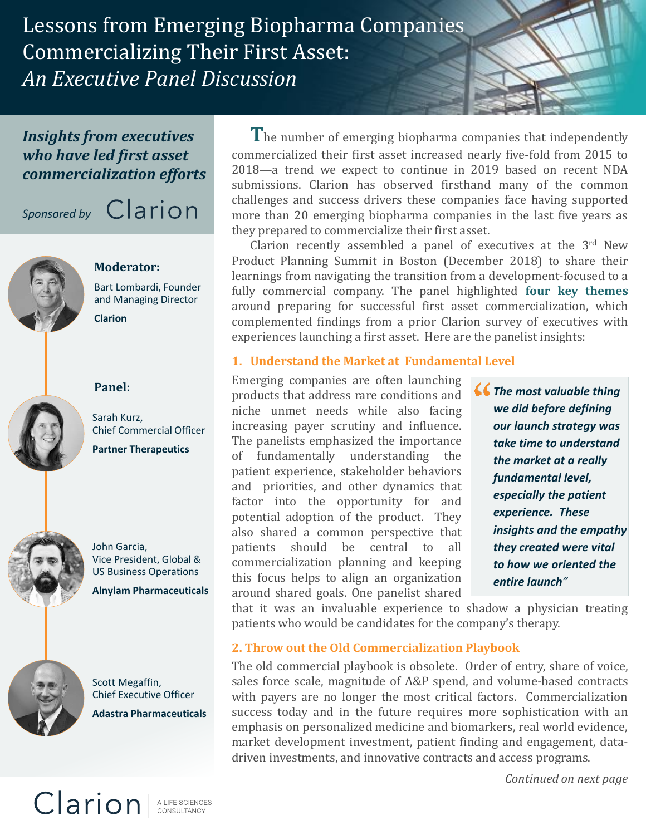Lessons from Emerging Biopharma Companies Commercializing Their First Asset: *An Executive Panel Discussion*

### *Insights from executives who have led first asset commercialization efforts*

# *Sponsored by* **Carion**



## **Moderator:**

Bart Lombardi, Founder and Managing Director **Clarion**



**Panel:**



John Garcia, Vice President, Global & US Business Operations





Scott Megaffin, Chief Executive Officer **Adastra Pharmaceuticals**

**T**he number of emerging biopharma companies that independently commercialized their first asset increased nearly five-fold from 2015 to 2018—a trend we expect to continue in 2019 based on recent NDA submissions. Clarion has observed firsthand many of the common challenges and success drivers these companies face having supported more than 20 emerging biopharma companies in the last five years as they prepared to commercialize their first asset.

Clarion recently assembled a panel of executives at the  $3<sup>rd</sup>$  New Product Planning Summit in Boston (December 2018) to share their learnings from navigating the transition from a development-focused to a fully commercial company. The panel highlighted **four key themes** around preparing for successful first asset commercialization, which complemented findings from a prior Clarion survey of executives with experiences launching a first asset. Here are the panelist insights:

#### **1. Understand the Market at Fundamental Level**

Emerging companies are often launching products that address rare conditions and niche unmet needs while also facing increasing payer scrutiny and influence. The panelists emphasized the importance of fundamentally understanding the patient experience, stakeholder behaviors and priorities, and other dynamics that factor into the opportunity for and potential adoption of the product. They also shared a common perspective that patients should be central to all commercialization planning and keeping this focus helps to align an organization around shared goals. One panelist shared

*The most valuable thing we did before defining our launch strategy was take time to understand the market at a really fundamental level, especially the patient experience. These insights and the empathy they created were vital to how we oriented the entire launch"*

that it was an invaluable experience to shadow a physician treating patients who would be candidates for the company's therapy.

#### **2. Throw out the Old Commercialization Playbook**

The old commercial playbook is obsolete. Order of entry, share of voice, sales force scale, magnitude of A&P spend, and volume-based contracts with payers are no longer the most critical factors. Commercialization success today and in the future requires more sophistication with an emphasis on personalized medicine and biomarkers, real world evidence, market development investment, patient finding and engagement, datadriven investments, and innovative contracts and access programs.

*Continued on next page*